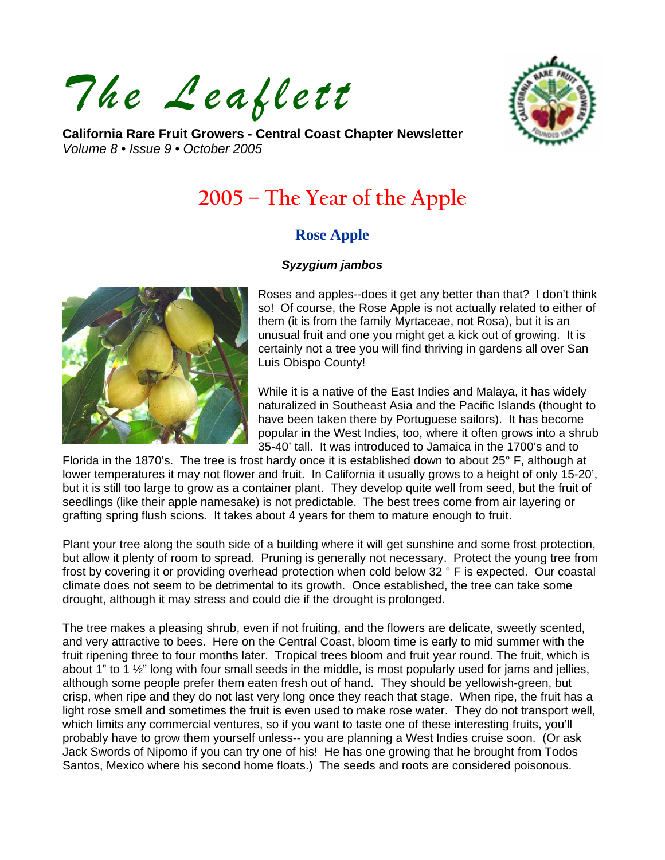*The Leaflett*



**California Rare Fruit Growers - Central Coast Chapter Newsletter**  *Volume 8 • Issue 9 • October 2005* 

# **2005 – The Year of the Apple**

# **Rose Apple**

#### *Syzygium jambos*



Roses and apples--does it get any better than that? I don't think so! Of course, the Rose Apple is not actually related to either of them (it is from the family Myrtaceae, not Rosa), but it is an unusual fruit and one you might get a kick out of growing. It is certainly not a tree you will find thriving in gardens all over San Luis Obispo County!

While it is a native of the East Indies and Malaya, it has widely naturalized in Southeast Asia and the Pacific Islands (thought to have been taken there by Portuguese sailors). It has become popular in the West Indies, too, where it often grows into a shrub 35-40' tall. It was introduced to Jamaica in the 1700's and to

Florida in the 1870's. The tree is frost hardy once it is established down to about 25° F, although at lower temperatures it may not flower and fruit. In California it usually grows to a height of only 15-20', but it is still too large to grow as a container plant. They develop quite well from seed, but the fruit of seedlings (like their apple namesake) is not predictable. The best trees come from air layering or grafting spring flush scions. It takes about 4 years for them to mature enough to fruit.

Plant your tree along the south side of a building where it will get sunshine and some frost protection, but allow it plenty of room to spread. Pruning is generally not necessary. Protect the young tree from frost by covering it or providing overhead protection when cold below 32 ° F is expected. Our coastal climate does not seem to be detrimental to its growth. Once established, the tree can take some drought, although it may stress and could die if the drought is prolonged.

The tree makes a pleasing shrub, even if not fruiting, and the flowers are delicate, sweetly scented, and very attractive to bees. Here on the Central Coast, bloom time is early to mid summer with the fruit ripening three to four months later. Tropical trees bloom and fruit year round. The fruit, which is about 1" to 1  $\frac{1}{2}$ " long with four small seeds in the middle, is most popularly used for jams and jellies, although some people prefer them eaten fresh out of hand. They should be yellowish-green, but crisp, when ripe and they do not last very long once they reach that stage. When ripe, the fruit has a light rose smell and sometimes the fruit is even used to make rose water. They do not transport well, which limits any commercial ventures, so if you want to taste one of these interesting fruits, you'll probably have to grow them yourself unless-- you are planning a West Indies cruise soon. (Or ask Jack Swords of Nipomo if you can try one of his! He has one growing that he brought from Todos Santos, Mexico where his second home floats.) The seeds and roots are considered poisonous.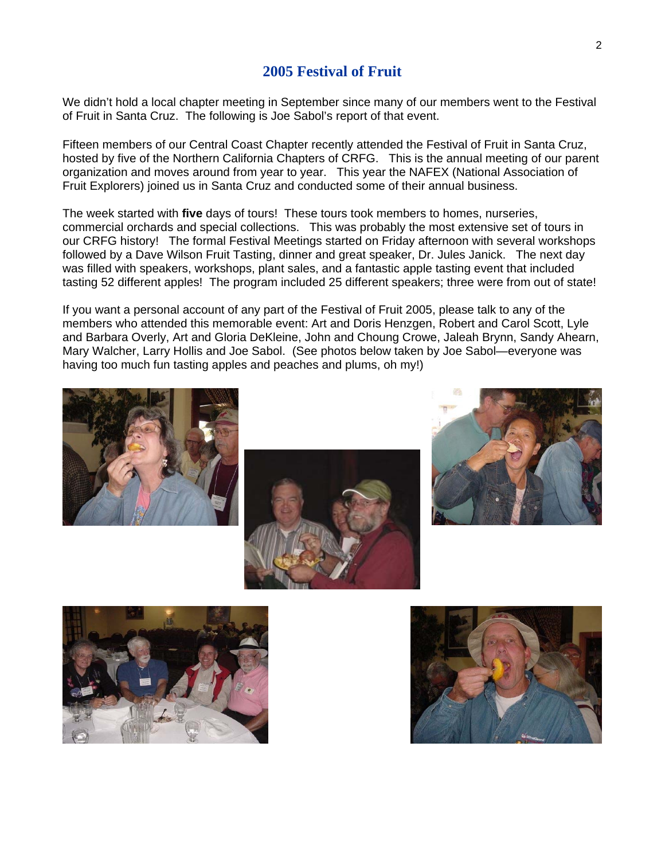## **2005 Festival of Fruit**

We didn't hold a local chapter meeting in September since many of our members went to the Festival of Fruit in Santa Cruz. The following is Joe Sabol's report of that event.

Fifteen members of our Central Coast Chapter recently attended the Festival of Fruit in Santa Cruz, hosted by five of the Northern California Chapters of CRFG. This is the annual meeting of our parent organization and moves around from year to year. This year the NAFEX (National Association of Fruit Explorers) joined us in Santa Cruz and conducted some of their annual business.

The week started with **five** days of tours! These tours took members to homes, nurseries, commercial orchards and special collections. This was probably the most extensive set of tours in our CRFG history! The formal Festival Meetings started on Friday afternoon with several workshops followed by a Dave Wilson Fruit Tasting, dinner and great speaker, Dr. Jules Janick. The next day was filled with speakers, workshops, plant sales, and a fantastic apple tasting event that included tasting 52 different apples! The program included 25 different speakers; three were from out of state!

If you want a personal account of any part of the Festival of Fruit 2005, please talk to any of the members who attended this memorable event: Art and Doris Henzgen, Robert and Carol Scott, Lyle and Barbara Overly, Art and Gloria DeKleine, John and Choung Crowe, Jaleah Brynn, Sandy Ahearn, Mary Walcher, Larry Hollis and Joe Sabol. (See photos below taken by Joe Sabol—everyone was having too much fun tasting apples and peaches and plums, oh my!)









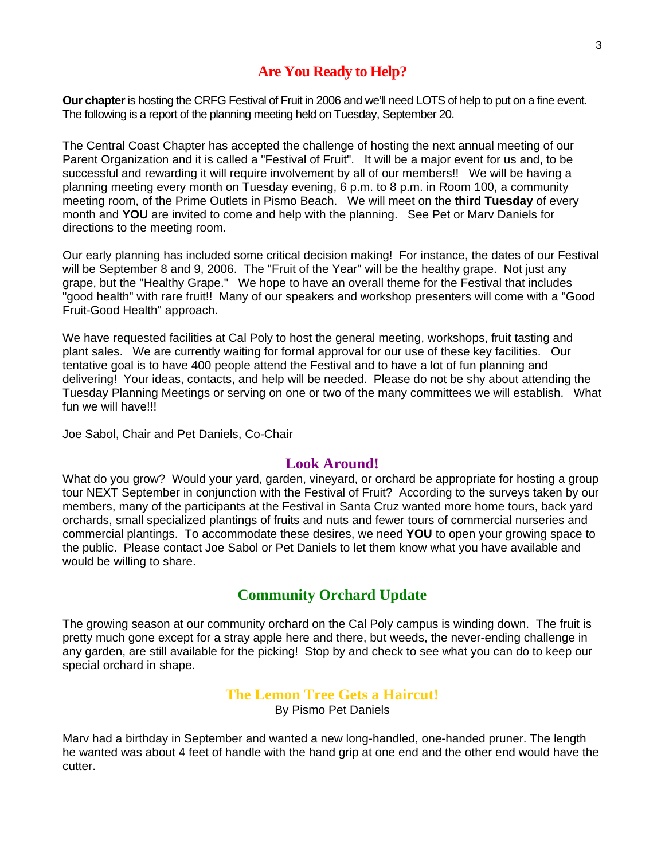## **Are You Ready to Help?**

**Our chapter** is hosting the CRFG Festival of Fruit in 2006 and we'll need LOTS of help to put on a fine event. The following is a report of the planning meeting held on Tuesday, September 20.

The Central Coast Chapter has accepted the challenge of hosting the next annual meeting of our Parent Organization and it is called a "Festival of Fruit". It will be a major event for us and, to be successful and rewarding it will require involvement by all of our members!! We will be having a planning meeting every month on Tuesday evening, 6 p.m. to 8 p.m. in Room 100, a community meeting room, of the Prime Outlets in Pismo Beach. We will meet on the **third Tuesday** of every month and **YOU** are invited to come and help with the planning. See Pet or Marv Daniels for directions to the meeting room.

Our early planning has included some critical decision making! For instance, the dates of our Festival will be September 8 and 9, 2006. The "Fruit of the Year" will be the healthy grape. Not just any grape, but the "Healthy Grape." We hope to have an overall theme for the Festival that includes "good health" with rare fruit!! Many of our speakers and workshop presenters will come with a "Good Fruit-Good Health" approach.

We have requested facilities at Cal Poly to host the general meeting, workshops, fruit tasting and plant sales. We are currently waiting for formal approval for our use of these key facilities. Our tentative goal is to have 400 people attend the Festival and to have a lot of fun planning and delivering! Your ideas, contacts, and help will be needed. Please do not be shy about attending the Tuesday Planning Meetings or serving on one or two of the many committees we will establish. What fun we will have!!!

Joe Sabol, Chair and Pet Daniels, Co-Chair

#### **Look Around!**

What do you grow? Would your yard, garden, vineyard, or orchard be appropriate for hosting a group tour NEXT September in conjunction with the Festival of Fruit? According to the surveys taken by our members, many of the participants at the Festival in Santa Cruz wanted more home tours, back yard orchards, small specialized plantings of fruits and nuts and fewer tours of commercial nurseries and commercial plantings. To accommodate these desires, we need **YOU** to open your growing space to the public. Please contact Joe Sabol or Pet Daniels to let them know what you have available and would be willing to share.

## **Community Orchard Update**

The growing season at our community orchard on the Cal Poly campus is winding down. The fruit is pretty much gone except for a stray apple here and there, but weeds, the never-ending challenge in any garden, are still available for the picking! Stop by and check to see what you can do to keep our special orchard in shape.

## **The Lemon Tree Gets a Haircut!**

By Pismo Pet Daniels

Marv had a birthday in September and wanted a new long-handled, one-handed pruner. The length he wanted was about 4 feet of handle with the hand grip at one end and the other end would have the cutter.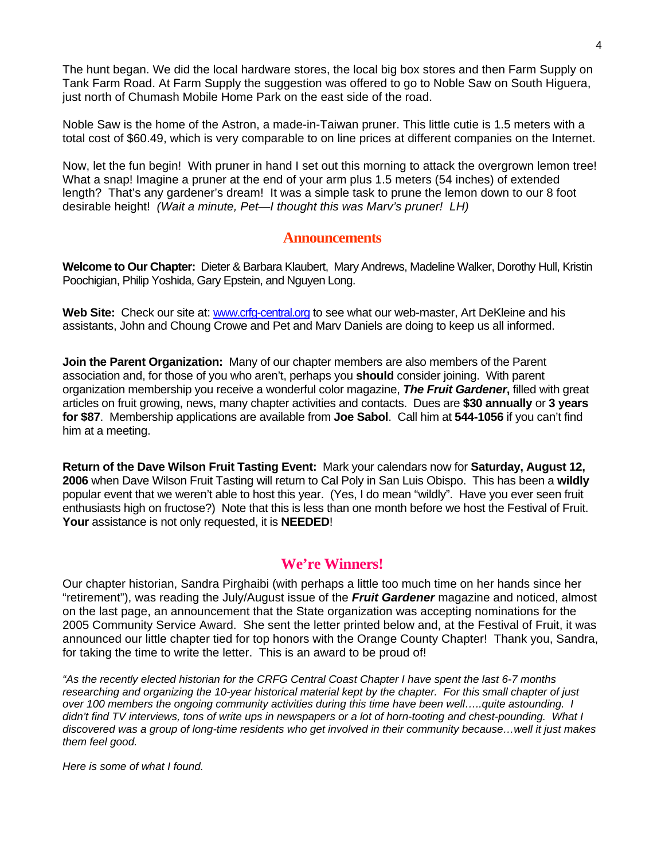The hunt began. We did the local hardware stores, the local big box stores and then Farm Supply on Tank Farm Road. At Farm Supply the suggestion was offered to go to Noble Saw on South Higuera, just north of Chumash Mobile Home Park on the east side of the road.

Noble Saw is the home of the Astron, a made-in-Taiwan pruner. This little cutie is 1.5 meters with a total cost of \$60.49, which is very comparable to on line prices at different companies on the Internet.

Now, let the fun begin! With pruner in hand I set out this morning to attack the overgrown lemon tree! What a snap! Imagine a pruner at the end of your arm plus 1.5 meters (54 inches) of extended length? That's any gardener's dream! It was a simple task to prune the lemon down to our 8 foot desirable height! *(Wait a minute, Pet—I thought this was Marv's pruner! LH)* 

#### **Announcements**

**Welcome to Our Chapter:** Dieter & Barbara Klaubert, Mary Andrews, Madeline Walker, Dorothy Hull, Kristin Poochigian, Philip Yoshida, Gary Epstein, and Nguyen Long.

**Web Site:** Check our site at: [www.crfg-central.org](http://www.crfg-central.org/) to see what our web-master, Art DeKleine and his assistants, John and Choung Crowe and Pet and Marv Daniels are doing to keep us all informed.

**Join the Parent Organization:** Many of our chapter members are also members of the Parent association and, for those of you who aren't, perhaps you **should** consider joining. With parent organization membership you receive a wonderful color magazine, *The Fruit Gardener***,** filled with great articles on fruit growing, news, many chapter activities and contacts. Dues are **\$30 annually** or **3 years for \$87**. Membership applications are available from **Joe Sabol**. Call him at **544-1056** if you can't find him at a meeting.

**Return of the Dave Wilson Fruit Tasting Event:** Mark your calendars now for **Saturday, August 12, 2006** when Dave Wilson Fruit Tasting will return to Cal Poly in San Luis Obispo. This has been a **wildly** popular event that we weren't able to host this year. (Yes, I do mean "wildly". Have you ever seen fruit enthusiasts high on fructose?) Note that this is less than one month before we host the Festival of Fruit. **Your** assistance is not only requested, it is **NEEDED**!

#### **We're Winners!**

Our chapter historian, Sandra Pirghaibi (with perhaps a little too much time on her hands since her "retirement"), was reading the July/August issue of the *Fruit Gardener* magazine and noticed, almost on the last page, an announcement that the State organization was accepting nominations for the 2005 Community Service Award. She sent the letter printed below and, at the Festival of Fruit, it was announced our little chapter tied for top honors with the Orange County Chapter! Thank you, Sandra, for taking the time to write the letter. This is an award to be proud of!

*"As the recently elected historian for the CRFG Central Coast Chapter I have spent the last 6-7 months researching and organizing the 10-year historical material kept by the chapter. For this small chapter of just over 100 members the ongoing community activities during this time have been well…..quite astounding. I*  didn't find TV interviews, tons of write ups in newspapers or a lot of horn-tooting and chest-pounding. What I *discovered was a group of long-time residents who get involved in their community because…well it just makes them feel good.* 

*Here is some of what I found.*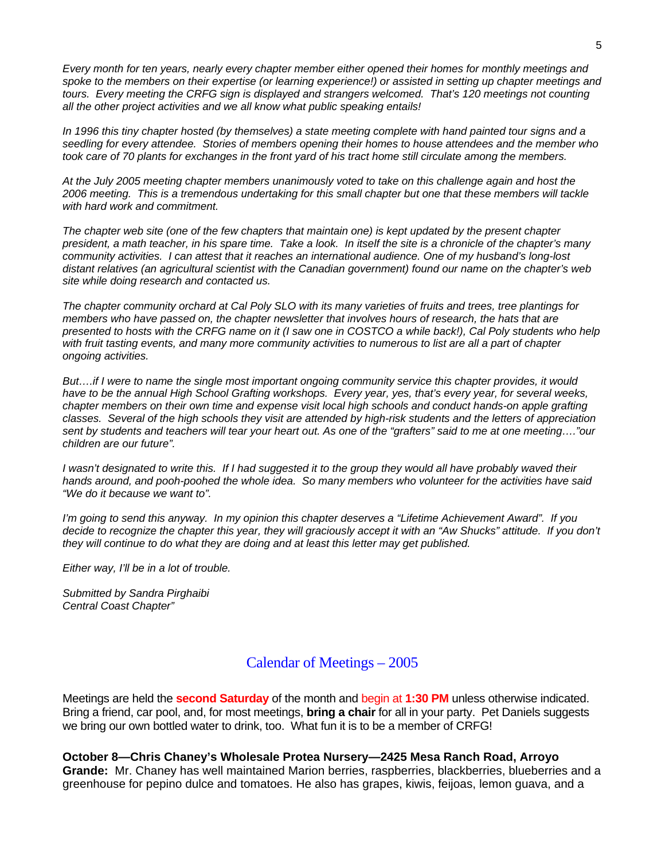*Every month for ten years, nearly every chapter member either opened their homes for monthly meetings and spoke to the members on their expertise (or learning experience!) or assisted in setting up chapter meetings and tours. Every meeting the CRFG sign is displayed and strangers welcomed. That's 120 meetings not counting all the other project activities and we all know what public speaking entails!* 

*In 1996 this tiny chapter hosted (by themselves) a state meeting complete with hand painted tour signs and a seedling for every attendee. Stories of members opening their homes to house attendees and the member who took care of 70 plants for exchanges in the front yard of his tract home still circulate among the members.* 

*At the July 2005 meeting chapter members unanimously voted to take on this challenge again and host the 2006 meeting. This is a tremendous undertaking for this small chapter but one that these members will tackle with hard work and commitment.* 

*The chapter web site (one of the few chapters that maintain one) is kept updated by the present chapter president, a math teacher, in his spare time. Take a look. In itself the site is a chronicle of the chapter's many community activities. I can attest that it reaches an international audience. One of my husband's long-lost distant relatives (an agricultural scientist with the Canadian government) found our name on the chapter's web site while doing research and contacted us.* 

*The chapter community orchard at Cal Poly SLO with its many varieties of fruits and trees, tree plantings for members who have passed on, the chapter newsletter that involves hours of research, the hats that are presented to hosts with the CRFG name on it (I saw one in COSTCO a while back!), Cal Poly students who help with fruit tasting events, and many more community activities to numerous to list are all a part of chapter ongoing activities.* 

*But….if I were to name the single most important ongoing community service this chapter provides, it would have to be the annual High School Grafting workshops. Every year, yes, that's every year, for several weeks, chapter members on their own time and expense visit local high schools and conduct hands-on apple grafting classes. Several of the high schools they visit are attended by high-risk students and the letters of appreciation sent by students and teachers will tear your heart out. As one of the "grafters" said to me at one meeting…."our children are our future".* 

*I* wasn't designated to write this. If I had suggested it to the group they would all have probably waved their *hands around, and pooh-poohed the whole idea. So many members who volunteer for the activities have said "We do it because we want to".* 

*I'm going to send this anyway. In my opinion this chapter deserves a "Lifetime Achievement Award". If you*  decide to recognize the chapter this year, they will graciously accept it with an "Aw Shucks" attitude. If you don't *they will continue to do what they are doing and at least this letter may get published.* 

*Either way, I'll be in a lot of trouble.* 

*Submitted by Sandra Pirghaibi Central Coast Chapter"* 

## Calendar of Meetings – 2005

Meetings are held the **second Saturday** of the month and begin at **1:30 PM** unless otherwise indicated. Bring a friend, car pool, and, for most meetings, **bring a chair** for all in your party. Pet Daniels suggests we bring our own bottled water to drink, too. What fun it is to be a member of CRFG!

**October 8—Chris Chaney's Wholesale Protea Nursery—2425 Mesa Ranch Road, Arroyo Grande:** Mr. Chaney has well maintained Marion berries, raspberries, blackberries, blueberries and a greenhouse for pepino dulce and tomatoes. He also has grapes, kiwis, feijoas, lemon guava, and a